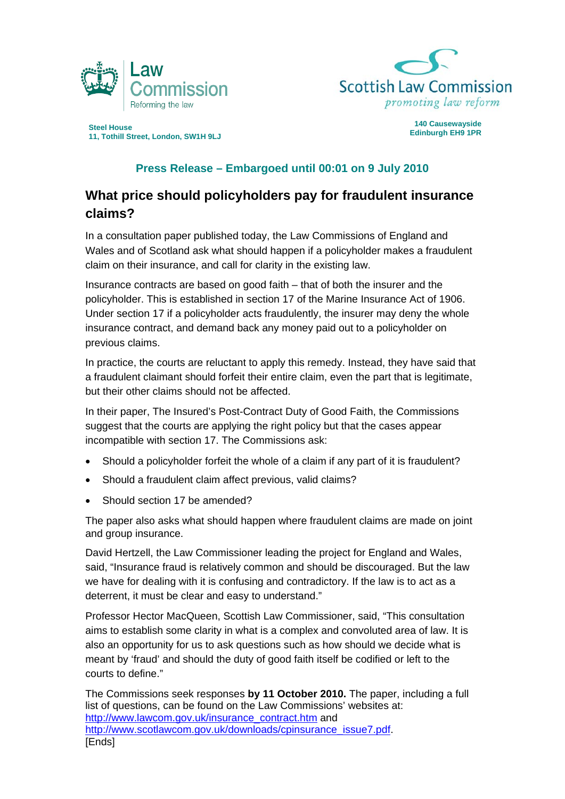



**Edinburgh EH9 1PR Steel House 11, Tothill Street, London, SW1H 9LJ** 

**140 Causewayside** 

# **Press Release – Embargoed until 00:01 on 9 July 2010**

# **What price should policyholders pay for fraudulent insurance claims?**

In a consultation paper published today, the Law Commissions of England and Wales and of Scotland ask what should happen if a policyholder makes a fraudulent claim on their insurance, and call for clarity in the existing law.

Insurance contracts are based on good faith – that of both the insurer and the policyholder. This is established in section 17 of the Marine Insurance Act of 1906. Under section 17 if a policyholder acts fraudulently, the insurer may deny the whole insurance contract, and demand back any money paid out to a policyholder on previous claims.

In practice, the courts are reluctant to apply this remedy. Instead, they have said that a fraudulent claimant should forfeit their entire claim, even the part that is legitimate, but their other claims should not be affected.

In their paper, The Insured's Post-Contract Duty of Good Faith, the Commissions suggest that the courts are applying the right policy but that the cases appear incompatible with section 17. The Commissions ask:

- Should a policyholder forfeit the whole of a claim if any part of it is fraudulent?
- Should a fraudulent claim affect previous, valid claims?
- Should section 17 be amended?

The paper also asks what should happen where fraudulent claims are made on joint and group insurance.

David Hertzell, the Law Commissioner leading the project for England and Wales, said, "Insurance fraud is relatively common and should be discouraged. But the law we have for dealing with it is confusing and contradictory. If the law is to act as a deterrent, it must be clear and easy to understand."

Professor Hector MacQueen, Scottish Law Commissioner, said, "This consultation aims to establish some clarity in what is a complex and convoluted area of law. It is also an opportunity for us to ask questions such as how should we decide what is meant by 'fraud' and should the duty of good faith itself be codified or left to the courts to define."

The Commissions seek responses **by 11 October 2010.** The paper, including a full list of questions, can be found on the Law Commissions' websites at: [http://www.lawcom.gov.uk/insurance\\_contract.htm](http://www.lawcom.gov.uk/insurance_contract.htm) and [http://www.scotlawcom.gov.uk/downloads/cpinsurance\\_issue7.pdf.](http://www.scotlawcom.gov.uk/downloads/cpinsurance_issue7.pdf) [Ends]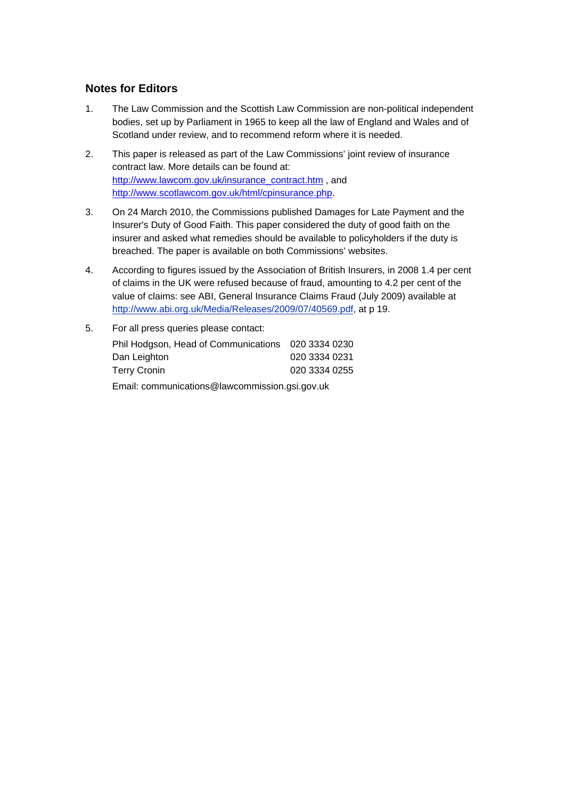## **Notes for Editors**

- 1. The Law Commission and the Scottish Law Commission are non-political independent bodies, set up by Parliament in 1965 to keep all the law of England and Wales and of Scotland under review, and to recommend reform where it is needed.
- 2. This paper is released as part of the Law Commissions' joint review of insurance contract law. More details can be found at: [http://www.lawcom.gov.uk/insurance\\_contract.htm](http://www.lawcom.gov.uk/insurance_contract.htm) , and <http://www.scotlawcom.gov.uk/html/cpinsurance.php>.
- 3. On 24 March 2010, the Commissions published Damages for Late Payment and the Insurer's Duty of Good Faith. This paper considered the duty of good faith on the insurer and asked what remedies should be available to policyholders if the duty is breached. The paper is available on both Commissions' websites.
- 4. According to figures issued by the Association of British Insurers, in 2008 1.4 per cent of claims in the UK were refused because of fraud, amounting to 4.2 per cent of the value of claims: see ABI, General Insurance Claims Fraud (July 2009) available at <http://www.abi.org.uk/Media/Releases/2009/07/40569.pdf>, at p 19.
- 5. For all press queries please contact: Phil Hodgson, Head of Communications 020 3334 0230 Dan Leighton 020 3334 0231 Terry Cronin 2020 3334 0255 Email: communications@lawcommission.gsi.gov.uk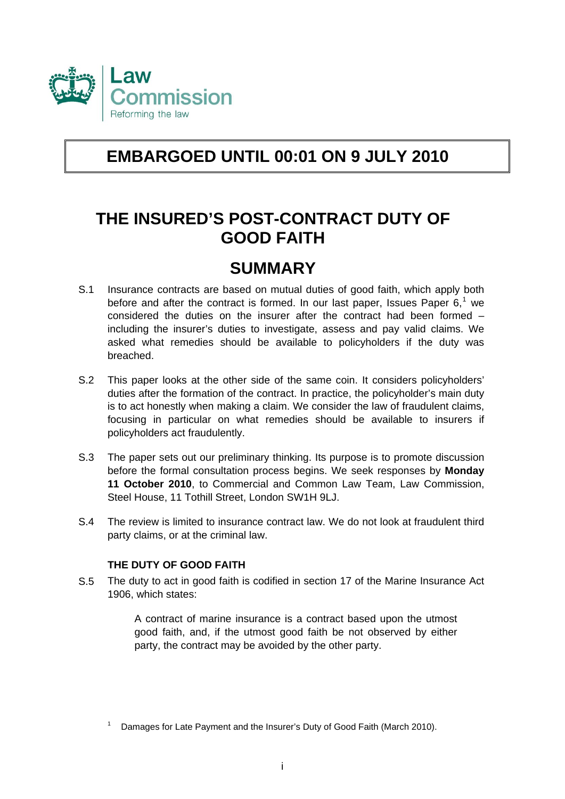

# **EMBARGOED UNTIL 00:01 ON 9 JULY 2010**

# **THE INSURED'S POST-CONTRACT DUTY OF GOOD FAITH**

# **SUMMARY**

- S.1 Insurance contracts are based on mutual duties of good faith, which apply both before and after the contract is formed. In our last paper, Issues Paper  $6<sup>1</sup>$  $6<sup>1</sup>$  $6<sup>1</sup>$  we considered the duties on the insurer after the contract had been formed – including the insurer's duties to investigate, assess and pay valid claims. We asked what remedies should be available to policyholders if the duty was breached.
- S.2 This paper looks at the other side of the same coin. It considers policyholders' duties after the formation of the contract. In practice, the policyholder's main duty is to act honestly when making a claim. We consider the law of fraudulent claims, focusing in particular on what remedies should be available to insurers if policyholders act fraudulently.
- S.3 The paper sets out our preliminary thinking. Its purpose is to promote discussion before the formal consultation process begins. We seek responses by **Monday 11 October 2010**, to Commercial and Common Law Team, Law Commission, Steel House, 11 Tothill Street, London SW1H 9LJ.
- S.4 The review is limited to insurance contract law. We do not look at fraudulent third party claims, or at the criminal law.

# **THE DUTY OF GOOD FAITH**

S.5 The duty to act in good faith is codified in section 17 of the Marine Insurance Act 1906, which states:

> A contract of marine insurance is a contract based upon the utmost good faith, and, if the utmost good faith be not observed by either party, the contract may be avoided by the other party.

<span id="page-2-0"></span><sup>1</sup> Damages for Late Payment and the Insurer's Duty of Good Faith (March 2010).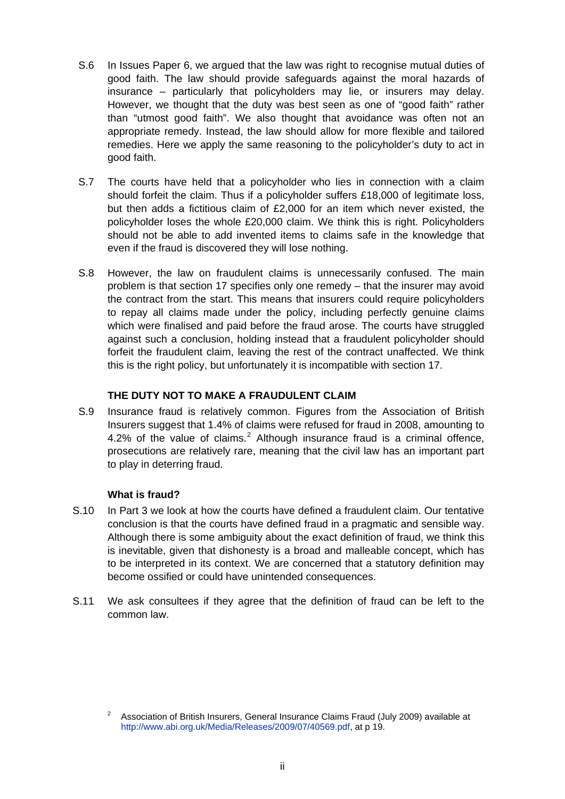- S.6 In Issues Paper 6, we argued that the law was right to recognise mutual duties of good faith. The law should provide safeguards against the moral hazards of insurance – particularly that policyholders may lie, or insurers may delay. However, we thought that the duty was best seen as one of "good faith" rather than "utmost good faith". We also thought that avoidance was often not an appropriate remedy. Instead, the law should allow for more flexible and tailored remedies. Here we apply the same reasoning to the policyholder's duty to act in good faith.
- S.7 The courts have held that a policyholder who lies in connection with a claim should forfeit the claim. Thus if a policyholder suffers £18,000 of legitimate loss, but then adds a fictitious claim of £2,000 for an item which never existed, the policyholder loses the whole £20,000 claim. We think this is right. Policyholders should not be able to add invented items to claims safe in the knowledge that even if the fraud is discovered they will lose nothing.
- S.8 However, the law on fraudulent claims is unnecessarily confused. The main problem is that section 17 specifies only one remedy – that the insurer may avoid the contract from the start. This means that insurers could require policyholders to repay all claims made under the policy, including perfectly genuine claims which were finalised and paid before the fraud arose. The courts have struggled against such a conclusion, holding instead that a fraudulent policyholder should forfeit the fraudulent claim, leaving the rest of the contract unaffected. We think this is the right policy, but unfortunately it is incompatible with section 17.

# **THE DUTY NOT TO MAKE A FRAUDULENT CLAIM**

S.9 Insurance fraud is relatively common. Figures from the Association of British Insurers suggest that 1.4% of claims were refused for fraud in 2008, amounting to 4.[2](#page-3-0)% of the value of claims.<sup>2</sup> Although insurance fraud is a criminal offence, prosecutions are relatively rare, meaning that the civil law has an important part to play in deterring fraud.

# **What is fraud?**

- S.10 In Part 3 we look at how the courts have defined a fraudulent claim. Our tentative conclusion is that the courts have defined fraud in a pragmatic and sensible way. Although there is some ambiguity about the exact definition of fraud, we think this is inevitable, given that dishonesty is a broad and malleable concept, which has to be interpreted in its context. We are concerned that a statutory definition may become ossified or could have unintended consequences.
- S.11 We ask consultees if they agree that the definition of fraud can be left to the common law.

<span id="page-3-0"></span><sup>2</sup> Association of British Insurers, General Insurance Claims Fraud (July 2009) available at [http://www.abi.org.uk/Media/Releases/2009/07/40569.pdf,](http://www.abi.org.uk/Media/Releases/2009/07/40569.pdf) at p 19.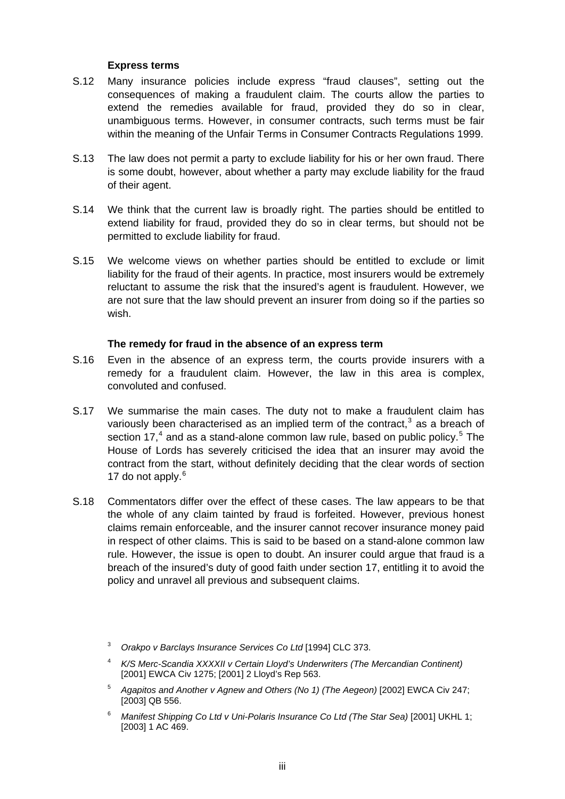### **Express terms**

- S.12 Many insurance policies include express "fraud clauses", setting out the consequences of making a fraudulent claim. The courts allow the parties to extend the remedies available for fraud, provided they do so in clear, unambiguous terms. However, in consumer contracts, such terms must be fair within the meaning of the Unfair Terms in Consumer Contracts Regulations 1999.
- S.13 The law does not permit a party to exclude liability for his or her own fraud. There is some doubt, however, about whether a party may exclude liability for the fraud of their agent.
- S.14 We think that the current law is broadly right. The parties should be entitled to extend liability for fraud, provided they do so in clear terms, but should not be permitted to exclude liability for fraud.
- S.15 We welcome views on whether parties should be entitled to exclude or limit liability for the fraud of their agents. In practice, most insurers would be extremely reluctant to assume the risk that the insured's agent is fraudulent. However, we are not sure that the law should prevent an insurer from doing so if the parties so wish.

### **The remedy for fraud in the absence of an express term**

- S.16 Even in the absence of an express term, the courts provide insurers with a remedy for a fraudulent claim. However, the law in this area is complex, convoluted and confused.
- S.17 We summarise the main cases. The duty not to make a fraudulent claim has variously been characterised as an implied term of the contract,<sup>[3](#page-4-0)</sup> as a breach of section 17,<sup>[4](#page-4-1)</sup> and as a stand-alone common law rule, based on public policy.<sup>[5](#page-4-2)</sup> The House of Lords has severely criticised the idea that an insurer may avoid the contract from the start, without definitely deciding that the clear words of section 17 do not apply.<sup>[6](#page-4-3)</sup>
- <span id="page-4-3"></span><span id="page-4-2"></span><span id="page-4-1"></span><span id="page-4-0"></span>S.18 Commentators differ over the effect of these cases. The law appears to be that the whole of any claim tainted by fraud is forfeited. However, previous honest claims remain enforceable, and the insurer cannot recover insurance money paid in respect of other claims. This is said to be based on a stand-alone common law rule. However, the issue is open to doubt. An insurer could argue that fraud is a breach of the insured's duty of good faith under section 17, entitling it to avoid the policy and unravel all previous and subsequent claims.
	- 3 *Orakpo v Barclays Insurance Services Co Ltd* [1994] CLC 373.
	- 4 *K/S Merc-Scandia XXXXII v Certain Lloyd's Underwriters (The Mercandian Continent)*  [2001] EWCA Civ 1275; [2001] 2 Lloyd's Rep 563.
	- <sup>5</sup> *Agapitos and Another v Agnew and Others (No 1) (The Aegeon)* [2002] EWCA Civ 247; [\[2003\] QB 556.](http://login.westlaw.co.uk/maf/wluk/app/document?src=doc&linktype=ref&&context=7&crumb-action=replace&docguid=I539A4E90E42711DA8FC2A0F0355337E9)
	- <sup>6</sup> Manifest Shipping Co Ltd v Uni-Polaris Insurance Co Ltd (The Star Sea) [2001] UKHL 1; [2003] 1 AC 469.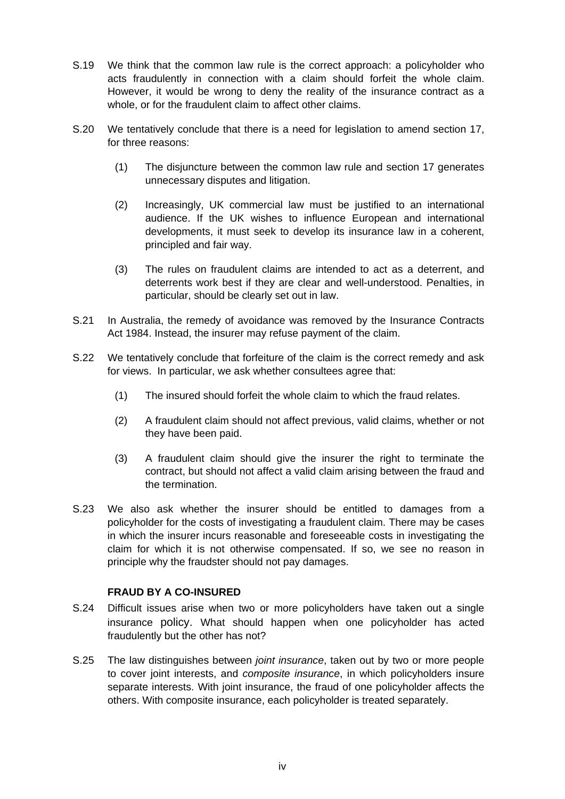- S.19 We think that the common law rule is the correct approach: a policyholder who acts fraudulently in connection with a claim should forfeit the whole claim. However, it would be wrong to deny the reality of the insurance contract as a whole, or for the fraudulent claim to affect other claims.
- S.20 We tentatively conclude that there is a need for legislation to amend section 17, for three reasons:
	- (1) The disjuncture between the common law rule and section 17 generates unnecessary disputes and litigation.
	- (2) Increasingly, UK commercial law must be justified to an international audience. If the UK wishes to influence European and international developments, it must seek to develop its insurance law in a coherent, principled and fair way.
	- (3) The rules on fraudulent claims are intended to act as a deterrent, and deterrents work best if they are clear and well-understood. Penalties, in particular, should be clearly set out in law.
- S.21 In Australia, the remedy of avoidance was removed by the Insurance Contracts Act 1984. Instead, the insurer may refuse payment of the claim.
- S.22 We tentatively conclude that forfeiture of the claim is the correct remedy and ask for views. In particular, we ask whether consultees agree that:
	- (1) The insured should forfeit the whole claim to which the fraud relates.
	- (2) A fraudulent claim should not affect previous, valid claims, whether or not they have been paid.
	- (3) A fraudulent claim should give the insurer the right to terminate the contract, but should not affect a valid claim arising between the fraud and the termination.
- S.23 We also ask whether the insurer should be entitled to damages from a policyholder for the costs of investigating a fraudulent claim. There may be cases in which the insurer incurs reasonable and foreseeable costs in investigating the claim for which it is not otherwise compensated. If so, we see no reason in principle why the fraudster should not pay damages.

### **FRAUD BY A CO-INSURED**

- S.24 Difficult issues arise when two or more policyholders have taken out a single insurance policy. What should happen when one policyholder has acted fraudulently but the other has not?
- S.25 The law distinguishes between *joint insurance*, taken out by two or more people to cover joint interests, and *composite insurance*, in which policyholders insure separate interests. With joint insurance, the fraud of one policyholder affects the others. With composite insurance, each policyholder is treated separately.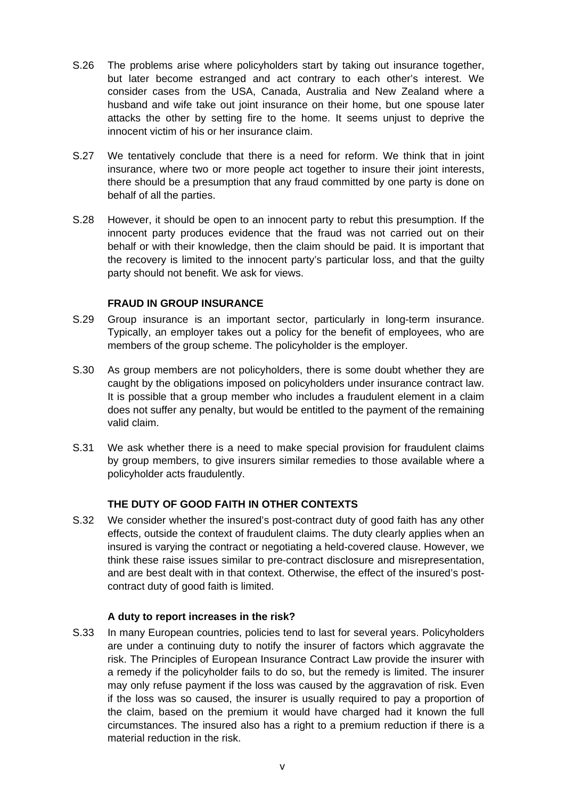- S.26 The problems arise where policyholders start by taking out insurance together, but later become estranged and act contrary to each other's interest. We consider cases from the USA, Canada, Australia and New Zealand where a husband and wife take out joint insurance on their home, but one spouse later attacks the other by setting fire to the home. It seems unjust to deprive the innocent victim of his or her insurance claim.
- S.27 We tentatively conclude that there is a need for reform. We think that in joint insurance, where two or more people act together to insure their joint interests, there should be a presumption that any fraud committed by one party is done on behalf of all the parties.
- S.28 However, it should be open to an innocent party to rebut this presumption. If the innocent party produces evidence that the fraud was not carried out on their behalf or with their knowledge, then the claim should be paid. It is important that the recovery is limited to the innocent party's particular loss, and that the guilty party should not benefit. We ask for views.

### **FRAUD IN GROUP INSURANCE**

- S.29 Group insurance is an important sector, particularly in long-term insurance. Typically, an employer takes out a policy for the benefit of employees, who are members of the group scheme. The policyholder is the employer.
- S.30 As group members are not policyholders, there is some doubt whether they are caught by the obligations imposed on policyholders under insurance contract law. It is possible that a group member who includes a fraudulent element in a claim does not suffer any penalty, but would be entitled to the payment of the remaining valid claim.
- S.31 We ask whether there is a need to make special provision for fraudulent claims by group members, to give insurers similar remedies to those available where a policyholder acts fraudulently.

### **THE DUTY OF GOOD FAITH IN OTHER CONTEXTS**

S.32 We consider whether the insured's post-contract duty of good faith has any other effects, outside the context of fraudulent claims. The duty clearly applies when an insured is varying the contract or negotiating a held-covered clause. However, we think these raise issues similar to pre-contract disclosure and misrepresentation, and are best dealt with in that context. Otherwise, the effect of the insured's postcontract duty of good faith is limited.

### **A duty to report increases in the risk?**

S.33 In many European countries, policies tend to last for several years. Policyholders are under a continuing duty to notify the insurer of factors which aggravate the risk. The Principles of European Insurance Contract Law provide the insurer with a remedy if the policyholder fails to do so, but the remedy is limited. The insurer may only refuse payment if the loss was caused by the aggravation of risk. Even if the loss was so caused, the insurer is usually required to pay a proportion of the claim, based on the premium it would have charged had it known the full circumstances. The insured also has a right to a premium reduction if there is a material reduction in the risk.